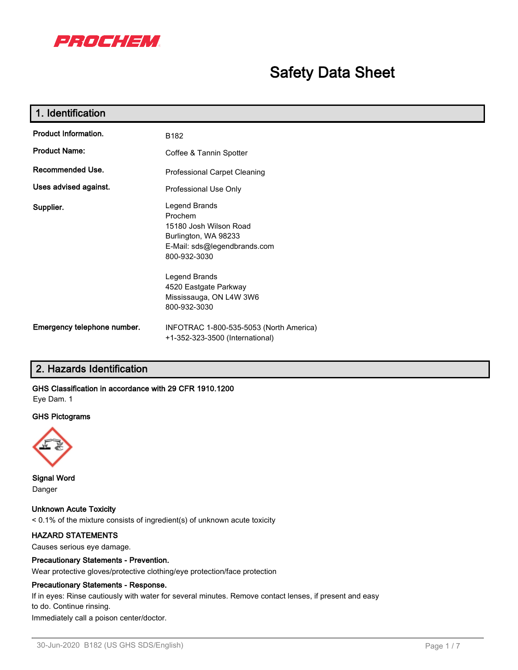

# **Safety Data Sheet**

| 1. Identification                                |                                                                                                                                                                                                                 |
|--------------------------------------------------|-----------------------------------------------------------------------------------------------------------------------------------------------------------------------------------------------------------------|
| <b>Product Information.</b>                      | B182                                                                                                                                                                                                            |
| <b>Product Name:</b>                             | Coffee & Tannin Spotter                                                                                                                                                                                         |
| Recommended Use.<br>Professional Carpet Cleaning |                                                                                                                                                                                                                 |
| Uses advised against.                            | Professional Use Only                                                                                                                                                                                           |
| Supplier.                                        | Legend Brands<br>Prochem<br>15180 Josh Wilson Road<br>Burlington, WA 98233<br>E-Mail: sds@legendbrands.com<br>800-932-3030<br>Legend Brands<br>4520 Eastgate Parkway<br>Mississauga, ON L4W 3W6<br>800-932-3030 |
| Emergency telephone number.                      | INFOTRAC 1-800-535-5053 (North America)<br>+1-352-323-3500 (International)                                                                                                                                      |

# **2. Hazards Identification**

# **GHS Classification in accordance with 29 CFR 1910.1200**

Eye Dam. 1

### **GHS Pictograms**



**Signal Word** Danger

**Unknown Acute Toxicity** < 0.1% of the mixture consists of ingredient(s) of unknown acute toxicity

### **HAZARD STATEMENTS**

Causes serious eye damage.

### **Precautionary Statements - Prevention.**

Wear protective gloves/protective clothing/eye protection/face protection

### **Precautionary Statements - Response.**

If in eyes: Rinse cautiously with water for several minutes. Remove contact lenses, if present and easy to do. Continue rinsing.

Immediately call a poison center/doctor.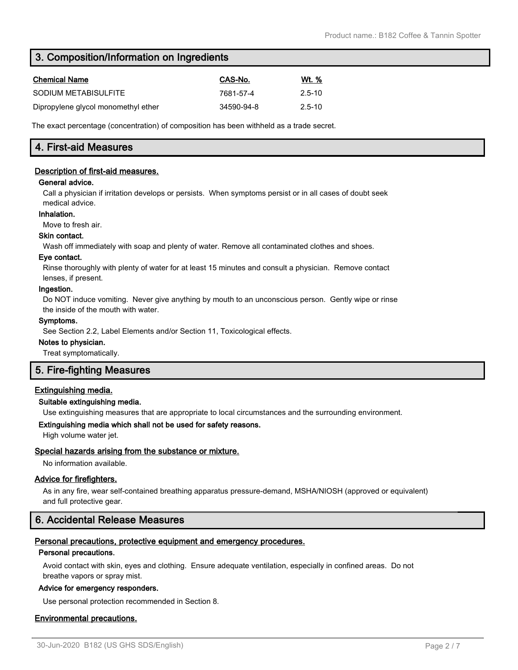# **3. Composition/Information on Ingredients**

| <b>Chemical Name</b>                | CAS-No.    | Wt. %      |
|-------------------------------------|------------|------------|
| SODIUM METABISULFITE                | 7681-57-4  | $2.5 - 10$ |
| Dipropylene glycol monomethyl ether | 34590-94-8 | $2.5 - 10$ |

The exact percentage (concentration) of composition has been withheld as a trade secret.

# **4. First-aid Measures**

### **Description of first-aid measures.**

### **General advice.**

Call a physician if irritation develops or persists. When symptoms persist or in all cases of doubt seek medical advice.

### **Inhalation.**

Move to fresh air.

### **Skin contact.**

Wash off immediately with soap and plenty of water. Remove all contaminated clothes and shoes.

### **Eye contact.**

Rinse thoroughly with plenty of water for at least 15 minutes and consult a physician. Remove contact lenses, if present.

### **Ingestion.**

Do NOT induce vomiting. Never give anything by mouth to an unconscious person. Gently wipe or rinse the inside of the mouth with water.

### **Symptoms.**

See Section 2.2, Label Elements and/or Section 11, Toxicological effects.

### **Notes to physician.**

Treat symptomatically.

# **5. Fire-fighting Measures**

# **Extinguishing media.**

### **Suitable extinguishing media.**

Use extinguishing measures that are appropriate to local circumstances and the surrounding environment.

### **Extinguishing media which shall not be used for safety reasons.**

High volume water jet.

# **Special hazards arising from the substance or mixture.**

No information available.

### **Advice for firefighters.**

As in any fire, wear self-contained breathing apparatus pressure-demand, MSHA/NIOSH (approved or equivalent) and full protective gear.

# **6. Accidental Release Measures**

### **Personal precautions, protective equipment and emergency procedures.**

### **Personal precautions.**

Avoid contact with skin, eyes and clothing. Ensure adequate ventilation, especially in confined areas. Do not breathe vapors or spray mist.

### **Advice for emergency responders.**

Use personal protection recommended in Section 8.

### **Environmental precautions.**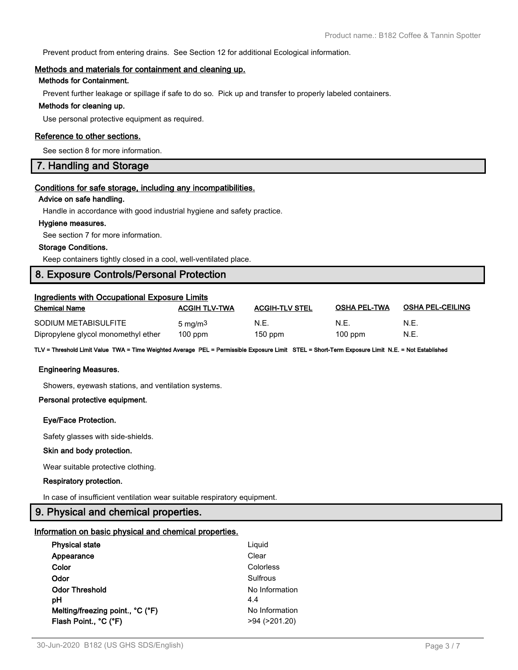Prevent product from entering drains. See Section 12 for additional Ecological information.

### **Methods and materials for containment and cleaning up.**

### **Methods for Containment.**

Prevent further leakage or spillage if safe to do so. Pick up and transfer to properly labeled containers.

### **Methods for cleaning up.**

Use personal protective equipment as required.

### **Reference to other sections.**

See section 8 for more information.

# **7. Handling and Storage**

### **Conditions for safe storage, including any incompatibilities.**

### **Advice on safe handling.**

Handle in accordance with good industrial hygiene and safety practice.

### **Hygiene measures.**

See section 7 for more information.

### **Storage Conditions.**

Keep containers tightly closed in a cool, well-ventilated place.

# **8. Exposure Controls/Personal Protection**

| <b>Ingredients with Occupational Exposure Limits</b> |                      |                       |                     |                         |  |
|------------------------------------------------------|----------------------|-----------------------|---------------------|-------------------------|--|
| <b>Chemical Name</b>                                 | <b>ACGIH TLV-TWA</b> | <b>ACGIH-TLV STEL</b> | <b>OSHA PEL-TWA</b> | <b>OSHA PEL-CEILING</b> |  |
| SODIUM METABISULFITE                                 | 5 mg/m <sup>3</sup>  | N.E.                  | N.E.                | N.E.                    |  |
| Dipropylene glycol monomethyl ether                  | $100$ ppm            | $150$ ppm             | $100$ ppm           | N.E.                    |  |

**TLV = Threshold Limit Value TWA = Time Weighted Average PEL = Permissible Exposure Limit STEL = Short-Term Exposure Limit N.E. = Not Established**

### **Engineering Measures.**

Showers, eyewash stations, and ventilation systems.

### **Personal protective equipment.**

### **Eye/Face Protection.**

Safety glasses with side-shields.

### **Skin and body protection.**

Wear suitable protective clothing.

### **Respiratory protection.**

In case of insufficient ventilation wear suitable respiratory equipment.

### **9. Physical and chemical properties.**

### **Information on basic physical and chemical properties.**

| <b>Physical state</b>            | Liguid              |
|----------------------------------|---------------------|
| Appearance                       | Clear               |
| Color                            | Colorless           |
| Odor                             | Sulfrous            |
| <b>Odor Threshold</b>            | No Information      |
| рH                               | 4.4                 |
| Melting/freezing point., °C (°F) | No Information      |
| Flash Point., °C (°F)            | $>94$ ( $>201.20$ ) |
|                                  |                     |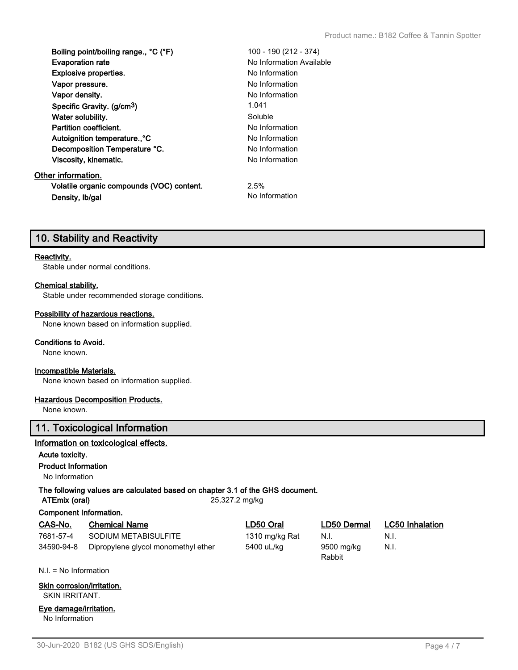| Boiling point/boiling range., °C (°F)     | 100 - 190 (212 - 374)    |
|-------------------------------------------|--------------------------|
| <b>Evaporation rate</b>                   | No Information Available |
| <b>Explosive properties.</b>              | No Information           |
| Vapor pressure.                           | No Information           |
| Vapor density.                            | No Information           |
| Specific Gravity. (g/cm <sup>3</sup> )    | 1.041                    |
| Water solubility.                         | Soluble                  |
| <b>Partition coefficient.</b>             | No Information           |
| Autoignition temperature <sup>°</sup> C   | No Information           |
| Decomposition Temperature °C.             | No Information           |
| Viscosity, kinematic.                     | No Information           |
| Other information.                        |                          |
| Volatile organic compounds (VOC) content. | 2.5%                     |
| Density, Ib/gal                           | No Information           |

# **10. Stability and Reactivity**

### **Reactivity.**

Stable under normal conditions.

### **Chemical stability.**

Stable under recommended storage conditions.

### **Possibility of hazardous reactions.**

None known based on information supplied.

### **Conditions to Avoid.**

None known.

### **Incompatible Materials.**

None known based on information supplied.

### **Hazardous Decomposition Products.**

None known.

# **11. Toxicological Information**

### **Information on toxicological effects.**

**Acute toxicity.**

### **Product Information**

No Information

# **The following values are calculated based on chapter 3.1 of the GHS document.**

**ATEmix (oral)** 25,327.2 mg/kg

**Component Information.**

| CAS-No.    | <b>Chemical Name</b>                | LD50 Oral      | LD50 Dermal          | <b>LC50</b> Inhalation |
|------------|-------------------------------------|----------------|----------------------|------------------------|
| 7681-57-4  | SODIUM METABISULFITE                | 1310 mg/kg Rat | N.I.                 | N.I.                   |
| 34590-94-8 | Dipropylene glycol monomethyl ether | 5400 uL/kg     | 9500 mg/kg<br>Rabbit | N.I.                   |

N.I. = No Information

### **Skin corrosion/irritation.** SKIN IRRITANT.

**Eye damage/irritation.** No Information

30-Jun-2020 B182 (US GHS SDS/English) Page 4 / 7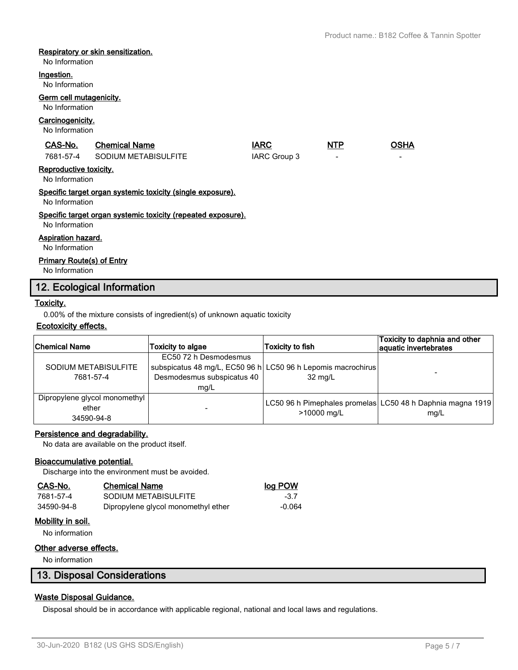### **Respiratory or skin sensitization.**

No Information

#### **Ingestion.**

No Information

# **Germ cell mutagenicity.**

## No Information

### **Carcinogenicity.**

No Information

| CAS-No.                                  | <b>Chemical Name</b>                                         | <b>IARC</b>  | <b>NTP</b>               | <b>OSHA</b> |
|------------------------------------------|--------------------------------------------------------------|--------------|--------------------------|-------------|
| 7681-57-4                                | SODIUM METABISULFITE                                         | IARC Group 3 | $\overline{\phantom{a}}$ |             |
| Reproductive toxicity.<br>No Information |                                                              |              |                          |             |
| No Information                           | Specific target organ systemic toxicity (single exposure).   |              |                          |             |
|                                          | Specific target organ systemic toxicity (repeated exposure). |              |                          |             |

No Information

### **Aspiration hazard.**

No Information

### **Primary Route(s) of Entry**

No Information

# **12. Ecological Information**

### **Toxicity.**

0.00% of the mixture consists of ingredient(s) of unknown aquatic toxicity

## **Ecotoxicity effects.**

| Chemical Name                                        | <b>Toxicity to algae</b>                                    | <b>Toxicity to fish</b>                                                 | Toxicity to daphnia and other<br>aquatic invertebrates             |
|------------------------------------------------------|-------------------------------------------------------------|-------------------------------------------------------------------------|--------------------------------------------------------------------|
| SODIUM METABISULFITE<br>7681-57-4                    | EC50 72 h Desmodesmus<br>Desmodesmus subspicatus 40<br>mq/L | subspicatus 48 mg/L, EC50 96 h LC50 96 h Lepomis macrochirus<br>32 mg/L |                                                                    |
| Dipropylene glycol monomethyl<br>ether<br>34590-94-8 |                                                             | >10000 mg/L                                                             | LC50 96 h Pimephales promelas LC50 48 h Daphnia magna 1919<br>mq/L |

### **Persistence and degradability.**

No data are available on the product itself.

### **Bioaccumulative potential.**

Discharge into the environment must be avoided.

| CAS-No.    | <b>Chemical Name</b>                | log POW  |
|------------|-------------------------------------|----------|
| 7681-57-4  | SODIUM METABISULFITE                | -37      |
| 34590-94-8 | Dipropylene glycol monomethyl ether | $-0.064$ |

# **Mobility in soil.**

No information

### **Other adverse effects.**

No information

# **13. Disposal Considerations**

### **Waste Disposal Guidance.**

Disposal should be in accordance with applicable regional, national and local laws and regulations.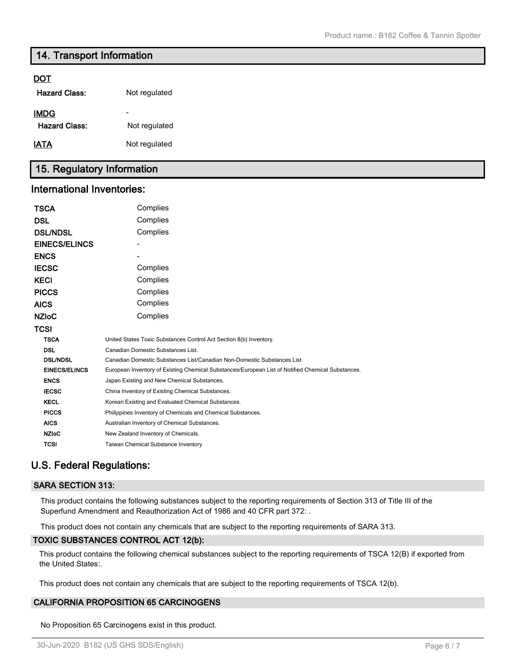# **14. Transport Information**

## **DOT**

| <b>Hazard Class:</b>                | Not regulated                             |
|-------------------------------------|-------------------------------------------|
| <b>IMDG</b><br><b>Hazard Class:</b> | $\overline{\phantom{0}}$<br>Not regulated |
| <b>IATA</b>                         | Not regulated                             |

# **15. Regulatory Information**

### **International Inventories:**

| TSCA                 | Complies                                                                                          |
|----------------------|---------------------------------------------------------------------------------------------------|
| <b>DSL</b>           | Complies                                                                                          |
| <b>DSL/NDSL</b>      | Complies                                                                                          |
| <b>EINECS/ELINCS</b> |                                                                                                   |
| <b>ENCS</b>          |                                                                                                   |
| <b>IECSC</b>         | Complies                                                                                          |
| <b>KECI</b>          | Complies                                                                                          |
| <b>PICCS</b>         | Complies                                                                                          |
| <b>AICS</b>          | Complies                                                                                          |
| <b>NZIoC</b>         | Complies                                                                                          |
| TCSI                 |                                                                                                   |
| <b>TSCA</b>          | United States Toxic Substances Control Act Section 8(b) Inventory.                                |
| <b>DSL</b>           | Canadian Domestic Substances List.                                                                |
| <b>DSL/NDSL</b>      | Canadian Domestic Substances List/Canadian Non-Domestic Substances List                           |
| <b>EINECS/ELINCS</b> | European Inventory of Existing Chemical Substances/European List of Notified Chemical Substances. |
| <b>ENCS</b>          | Japan Existing and New Chemical Substances.                                                       |
| <b>IECSC</b>         | China Inventory of Existing Chemical Substances.                                                  |
| <b>KECL</b>          | Korean Existing and Evaluated Chemical Substances.                                                |
| <b>PICCS</b>         | Philippines Inventory of Chemicals and Chemical Substances.                                       |
| <b>AICS</b>          | Australian Inventory of Chemical Substances.                                                      |
| <b>NZIoC</b>         | New Zealand Inventory of Chemicals.                                                               |
| TCSI                 | <b>Taiwan Chemical Substance Inventory</b>                                                        |

# **U.S. Federal Regulations:**

### **SARA SECTION 313:**

This product contains the following substances subject to the reporting requirements of Section 313 of Title III of the Superfund Amendment and Reauthorization Act of 1986 and 40 CFR part 372: .

This product does not contain any chemicals that are subject to the reporting requirements of SARA 313.

### **TOXIC SUBSTANCES CONTROL ACT 12(b):**

This product contains the following chemical substances subject to the reporting requirements of TSCA 12(B) if exported from the United States:.

This product does not contain any chemicals that are subject to the reporting requirements of TSCA 12(b).

# **CALIFORNIA PROPOSITION 65 CARCINOGENS**

No Proposition 65 Carcinogens exist in this product.